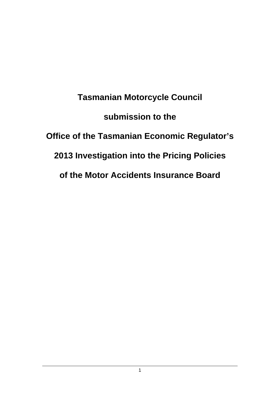**Tasmanian Motorcycle Council submission to the Office of the Tasmanian Economic Regulator's 2013 Investigation into the Pricing Policies of the Motor Accidents Insurance Board**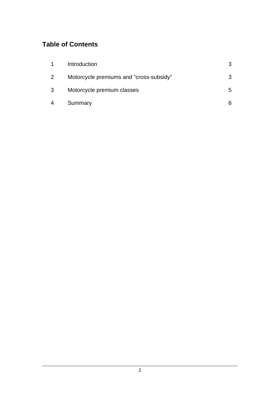# **Table of Contents**

| 1              | Introduction                            | 3  |
|----------------|-----------------------------------------|----|
| $\overline{2}$ | Motorcycle premiums and "cross-subsidy" | 3. |
| 3              | Motorcycle premium classes              | 5. |
| 4              | Summary                                 |    |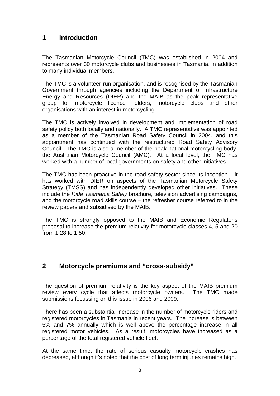## **1 Introduction**

The Tasmanian Motorcycle Council (TMC) was established in 2004 and represents over 30 motorcycle clubs and businesses in Tasmania, in addition to many individual members.

The TMC is a volunteer-run organisation, and is recognised by the Tasmanian Government through agencies including the Department of Infrastructure Energy and Resources (DIER) and the MAIB as the peak representative group for motorcycle licence holders, motorcycle clubs and other organisations with an interest in motorcycling.

The TMC is actively involved in development and implementation of road safety policy both locally and nationally. A TMC representative was appointed as a member of the Tasmanian Road Safety Council in 2004, and this appointment has continued with the restructured Road Safety Advisory Council. The TMC is also a member of the peak national motorcycling body, the Australian Motorcycle Council (AMC). At a local level, the TMC has worked with a number of local governments on safety and other initiatives.

The TMC has been proactive in the road safety sector since its inception – it has worked with DIER on aspects of the Tasmanian Motorcycle Safety Strategy (TMSS) and has independently developed other initiatives. These include the *Ride Tasmania Safely* brochure, television advertising campaigns, and the motorcycle road skills course – the refresher course referred to in the review papers and subsidised by the MAIB.

The TMC is strongly opposed to the MAIB and Economic Regulator's proposal to increase the premium relativity for motorcycle classes 4, 5 and 20 from 1.28 to 1.50.

## **2 Motorcycle premiums and "cross-subsidy"**

The question of premium relativity is the key aspect of the MAIB premium review every cycle that affects motorcycle owners. The TMC made submissions focussing on this issue in 2006 and 2009.

There has been a substantial increase in the number of motorcycle riders and registered motorcycles in Tasmania in recent years. The increase is between 5% and 7% annually which is well above the percentage increase in all registered motor vehicles. As a result, motorcycles have increased as a percentage of the total registered vehicle fleet.

At the same time, the rate of serious casualty motorcycle crashes has decreased, although it's noted that the cost of long term injuries remains high.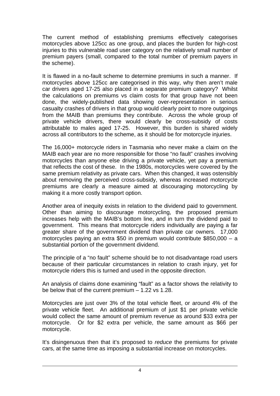The current method of establishing premiums effectively categorises motorcycles above 125cc as one group, and places the burden for high-cost injuries to this vulnerable road user category on the relatively small number of premium payers (small, compared to the total number of premium payers in the scheme).

It is flawed in a no-fault scheme to determine premiums in such a manner. If motorcycles above 125cc are categorised in this way, why then aren't male car drivers aged 17-25 also placed in a separate premium category? Whilst the calculations on premiums vs claim costs for that group have not been done, the widely-published data showing over-representation in serious casualty crashes of drivers in that group would clearly point to more outgoings from the MAIB than premiums they contribute. Across the whole group of private vehicle drivers, there would clearly be cross-subsidy of costs attributable to males aged 17-25. However, this burden is shared widely across all contributors to the scheme, as it should be for motorcycle injuries.

The 16,000+ motorcycle riders in Tasmania who never make a claim on the MAIB each year are no more responsible for those "no fault" crashes involving motorcycles than anyone else driving a private vehicle, yet pay a premium that reflects the cost of these. In the 1980s, motorcycles were covered by the same premium relativity as private cars. When this changed, it was ostensibly about removing the perceived cross-subsidy, whereas increased motorcycle premiums are clearly a measure aimed at discouraging motorcycling by making it a more costly transport option.

Another area of inequity exists in relation to the dividend paid to government. Other than aiming to discourage motorcycling, the proposed premium increases help with the MAIB's bottom line, and in turn the dividend paid to government. This means that motorcycle riders individually are paying a far greater share of the government dividend than private car owners. 17,000 motorcycles paying an extra \$50 in premium would contribute \$850,000 – a substantial portion of the government dividend.

The principle of a "no fault" scheme should be to not disadvantage road users because of their particular circumstances in relation to crash injury, yet for motorcycle riders this is turned and used in the opposite direction.

An analysis of claims done examining "fault" as a factor shows the relativity to be below that of the current premium – 1.22 vs 1.28.

Motorcycles are just over 3% of the total vehicle fleet, or around 4% of the private vehicle fleet. An additional premium of just \$1 per private vehicle would collect the same amount of premium revenue as around \$33 extra per motorcycle. Or for \$2 extra per vehicle, the same amount as \$66 per motorcycle.

It's disingenuous then that it's proposed to *reduce* the premiums for private cars, at the same time as imposing a substantial increase on motorcycles.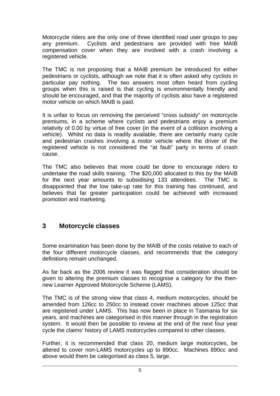Motorcycle riders are the only one of three identified road user groups to pay any premium. Cyclists and pedestrians are provided with free MAIB compensation cover when they are involved with a crash involving a registered vehicle.

The TMC is not proposing that a MAIB premium be introduced for either pedestrians or cyclists, although we note that it is often asked why cyclists in particular pay nothing. The two answers most often heard from cycling groups when this is raised is that cycling is environmentally friendly and should be encouraged, and that the majority of cyclists also have a registered motor vehicle on which MAIB is paid.

It is unfair to focus on removing the perceived "cross subsidy" on motorcycle premiums, in a scheme where cyclists and pedestrians enjoy a premium relativity of 0.00 by virtue of free cover (in the event of a collision involving a vehicle). Whilst no data is readily available, there are certainly many cycle and pedestrian crashes involving a motor vehicle where the driver of the registered vehicle is not considered the "at fault" party in terms of crash cause.

The TMC also believes that more could be done to encourage riders to undertake the road skills training. The \$20,000 allocated to this by the MAIB for the next year amounts to subsidising 133 attendees. The TMC is disappointed that the low take-up rate for this training has continued, and believes that far greater participation could be achieved with increased promotion and marketing.

## **3 Motorcycle classes**

Some examination has been done by the MAIB of the costs relative to each of the four different motorcycle classes, and recommends that the category definitions remain unchanged.

As far back as the 2006 review it was flagged that consideration should be given to altering the premium classes to recognise a category for the thennew Learner Approved Motorcycle Scheme (LAMS).

The TMC is of the strong view that class 4, medium motorcycles, should be amended from 126cc to 250cc to instead cover machines above 125cc that are registered under LAMS. This has now been in place in Tasmania for six years, and machines are categorised in this manner through in the registration system. It would then be possible to review at the end of the next four year cycle the claims' history of LAMS motorcycles compared to other classes.

Further, it is recommended that class 20, medium large motorcycles, be altered to cover non-LAMS motorcycles up to 890cc. Machines 890cc and above would them be categorised as class 5, large.